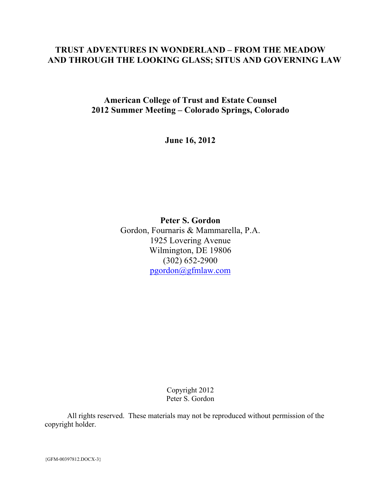# **TRUST ADVENTURES IN WONDERLAND – FROM THE MEADOW AND THROUGH THE LOOKING GLASS; SITUS AND GOVERNING LAW**

**American College of Trust and Estate Counsel 2012 Summer Meeting – Colorado Springs, Colorado**

**June 16, 2012**

**Peter S. Gordon** Gordon, Fournaris & Mammarella, P.A. 1925 Lovering Avenue Wilmington, DE 19806 (302) 652-2900 pgordon@gfmlaw.com

> Copyright 2012 Peter S. Gordon

All rights reserved. These materials may not be reproduced without permission of the copyright holder.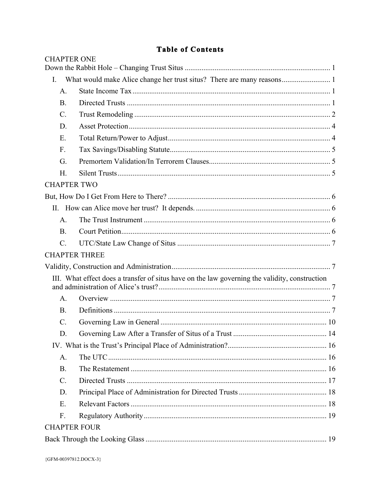# **Table of Contents**

| <b>CHAPTER ONE</b>  |                                                                                                |  |
|---------------------|------------------------------------------------------------------------------------------------|--|
| I.                  |                                                                                                |  |
| A.                  |                                                                                                |  |
| <b>B.</b>           |                                                                                                |  |
| $\mathcal{C}$ .     |                                                                                                |  |
| D.                  |                                                                                                |  |
| Ε.                  |                                                                                                |  |
| $F_{\cdot}$         |                                                                                                |  |
| G.                  |                                                                                                |  |
| H.                  |                                                                                                |  |
| <b>CHAPTER TWO</b>  |                                                                                                |  |
|                     |                                                                                                |  |
|                     |                                                                                                |  |
| A <sub>1</sub>      |                                                                                                |  |
| <b>B</b> .          |                                                                                                |  |
| $\mathcal{C}$ .     |                                                                                                |  |
|                     | <b>CHAPTER THREE</b>                                                                           |  |
|                     |                                                                                                |  |
|                     | III. What effect does a transfer of situs have on the law governing the validity, construction |  |
| A.                  |                                                                                                |  |
| <b>B</b> .          |                                                                                                |  |
| $\mathcal{C}$ .     |                                                                                                |  |
| D.                  |                                                                                                |  |
|                     |                                                                                                |  |
| A.                  |                                                                                                |  |
| <b>B.</b>           |                                                                                                |  |
|                     |                                                                                                |  |
| $C$ .               |                                                                                                |  |
| D.                  |                                                                                                |  |
| E.                  |                                                                                                |  |
| $F_{\cdot}$         |                                                                                                |  |
| <b>CHAPTER FOUR</b> |                                                                                                |  |
|                     |                                                                                                |  |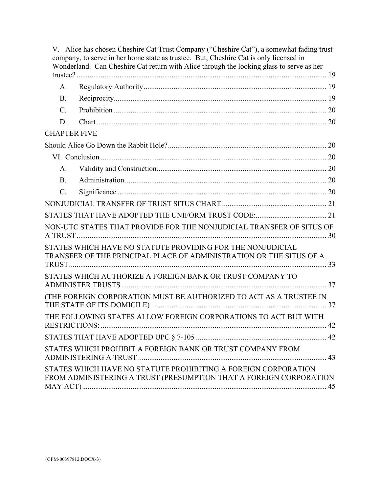|                     | V. Alice has chosen Cheshire Cat Trust Company ("Cheshire Cat"), a somewhat fading trust<br>company, to serve in her home state as trustee. But, Cheshire Cat is only licensed in<br>Wonderland. Can Cheshire Cat return with Alice through the looking glass to serve as her |  |
|---------------------|-------------------------------------------------------------------------------------------------------------------------------------------------------------------------------------------------------------------------------------------------------------------------------|--|
|                     |                                                                                                                                                                                                                                                                               |  |
| $A_{-}$             |                                                                                                                                                                                                                                                                               |  |
| B <sub>1</sub>      |                                                                                                                                                                                                                                                                               |  |
| $\mathcal{C}$ .     |                                                                                                                                                                                                                                                                               |  |
| D.                  |                                                                                                                                                                                                                                                                               |  |
| <b>CHAPTER FIVE</b> |                                                                                                                                                                                                                                                                               |  |
|                     |                                                                                                                                                                                                                                                                               |  |
|                     |                                                                                                                                                                                                                                                                               |  |
| $\mathsf{A}$        |                                                                                                                                                                                                                                                                               |  |
| B <sub>1</sub>      |                                                                                                                                                                                                                                                                               |  |
| $C$ .               |                                                                                                                                                                                                                                                                               |  |
|                     |                                                                                                                                                                                                                                                                               |  |
|                     |                                                                                                                                                                                                                                                                               |  |
|                     | NON-UTC STATES THAT PROVIDE FOR THE NONJUDICIAL TRANSFER OF SITUS OF                                                                                                                                                                                                          |  |
|                     | STATES WHICH HAVE NO STATUTE PROVIDING FOR THE NONJUDICIAL<br>TRANSFER OF THE PRINCIPAL PLACE OF ADMINISTRATION OR THE SITUS OF A                                                                                                                                             |  |
|                     | STATES WHICH AUTHORIZE A FOREIGN BANK OR TRUST COMPANY TO                                                                                                                                                                                                                     |  |
|                     | (THE FOREIGN CORPORATION MUST BE AUTHORIZED TO ACT AS A TRUSTEE IN                                                                                                                                                                                                            |  |
|                     | THE FOLLOWING STATES ALLOW FOREIGN CORPORATIONS TO ACT BUT WITH                                                                                                                                                                                                               |  |
|                     |                                                                                                                                                                                                                                                                               |  |
|                     | STATES WHICH PROHIBIT A FOREIGN BANK OR TRUST COMPANY FROM                                                                                                                                                                                                                    |  |
|                     | STATES WHICH HAVE NO STATUTE PROHIBITING A FOREIGN CORPORATION<br>FROM ADMINISTERING A TRUST (PRESUMPTION THAT A FOREIGN CORPORATION                                                                                                                                          |  |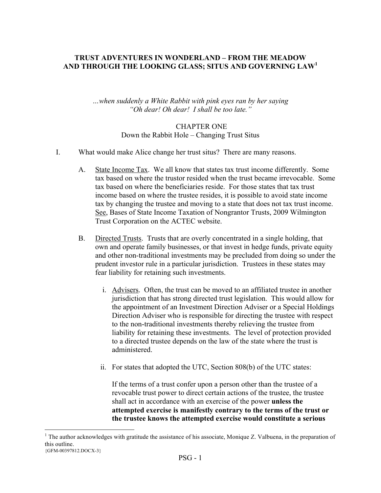### **TRUST ADVENTURES IN WONDERLAND – FROM THE MEADOW AND THROUGH THE LOOKING GLASS; SITUS AND GOVERNING LAW<sup>1</sup>**

*…when suddenly a White Rabbit with pink eyes ran by her saying "Oh dear! Oh dear! I shall be too late."*

## CHAPTER ONE Down the Rabbit Hole – Changing Trust Situs

- I. What would make Alice change her trust situs? There are many reasons.
	- A. State Income Tax. We all know that states tax trust income differently. Some tax based on where the trustor resided when the trust became irrevocable. Some tax based on where the beneficiaries reside. For those states that tax trust income based on where the trustee resides, it is possible to avoid state income tax by changing the trustee and moving to a state that does not tax trust income. See, Bases of State Income Taxation of Nongrantor Trusts, 2009 Wilmington Trust Corporation on the ACTEC website.
	- B. Directed Trusts. Trusts that are overly concentrated in a single holding, that own and operate family businesses, or that invest in hedge funds, private equity and other non-traditional investments may be precluded from doing so under the prudent investor rule in a particular jurisdiction. Trustees in these states may fear liability for retaining such investments.
		- i. Advisers. Often, the trust can be moved to an affiliated trustee in another jurisdiction that has strong directed trust legislation. This would allow for the appointment of an Investment Direction Adviser or a Special Holdings Direction Adviser who is responsible for directing the trustee with respect to the non-traditional investments thereby relieving the trustee from liability for retaining these investments. The level of protection provided to a directed trustee depends on the law of the state where the trust is administered.
		- ii. For states that adopted the UTC, Section 808(b) of the UTC states:

If the terms of a trust confer upon a person other than the trustee of a revocable trust power to direct certain actions of the trustee, the trustee shall act in accordance with an exercise of the power **unless the attempted exercise is manifestly contrary to the terms of the trust or the trustee knows the attempted exercise would constitute a serious** 

<sup>{</sup>GFM-00397812.DOCX-3}  $\frac{1}{1}$ <sup>1</sup> The author acknowledges with gratitude the assistance of his associate, Monique Z. Valbuena, in the preparation of this outline.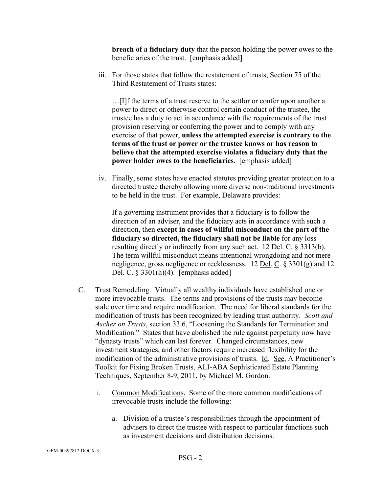**breach of a fiduciary duty** that the person holding the power owes to the beneficiaries of the trust. [emphasis added]

iii. For those states that follow the restatement of trusts, Section 75 of the Third Restatement of Trusts states:

…[I]f the terms of a trust reserve to the settlor or confer upon another a power to direct or otherwise control certain conduct of the trustee, the trustee has a duty to act in accordance with the requirements of the trust provision reserving or conferring the power and to comply with any exercise of that power, **unless the attempted exercise is contrary to the terms of the trust or power or the trustee knows or has reason to believe that the attempted exercise violates a fiduciary duty that the power holder owes to the beneficiaries.** [emphasis added]

iv. Finally, some states have enacted statutes providing greater protection to a directed trustee thereby allowing more diverse non-traditional investments to be held in the trust. For example, Delaware provides:

If a governing instrument provides that a fiduciary is to follow the direction of an adviser, and the fiduciary acts in accordance with such a direction, then **except in cases of willful misconduct on the part of the fiduciary so directed, the fiduciary shall not be liable** for any loss resulting directly or indirectly from any such act. 12 Del. C. § 3313(b). The term willful misconduct means intentional wrongdoing and not mere negligence, gross negligence or recklessness. 12 Del. C. § 3301(g) and 12 Del. C. § 3301(h)(4). [emphasis added]

- C. Trust Remodeling. Virtually all wealthy individuals have established one or more irrevocable trusts. The terms and provisions of the trusts may become stale over time and require modification. The need for liberal standards for the modification of trusts has been recognized by leading trust authority. *Scott and Ascher on Trusts*, section 33.6, "Loosening the Standards for Termination and Modification." States that have abolished the rule against perpetuity now have "dynasty trusts" which can last forever. Changed circumstances, new investment strategies, and other factors require increased flexibility for the modification of the administrative provisions of trusts. Id. See, A Practitioner's Toolkit for Fixing Broken Trusts, ALI-ABA Sophisticated Estate Planning Techniques, September 8-9, 2011, by Michael M. Gordon.
	- i. Common Modifications. Some of the more common modifications of irrevocable trusts include the following:
		- a. Division of a trustee's responsibilities through the appointment of advisers to direct the trustee with respect to particular functions such as investment decisions and distribution decisions.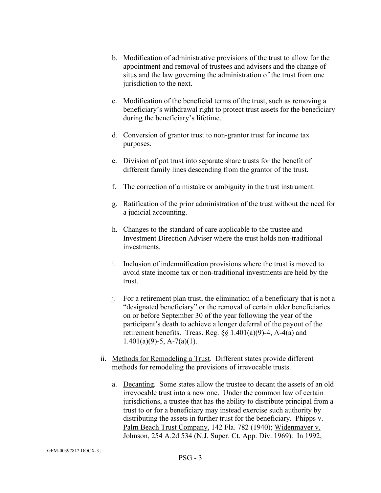- b. Modification of administrative provisions of the trust to allow for the appointment and removal of trustees and advisers and the change of situs and the law governing the administration of the trust from one jurisdiction to the next.
- c. Modification of the beneficial terms of the trust, such as removing a beneficiary's withdrawal right to protect trust assets for the beneficiary during the beneficiary's lifetime.
- d. Conversion of grantor trust to non-grantor trust for income tax purposes.
- e. Division of pot trust into separate share trusts for the benefit of different family lines descending from the grantor of the trust.
- f. The correction of a mistake or ambiguity in the trust instrument.
- g. Ratification of the prior administration of the trust without the need for a judicial accounting.
- h. Changes to the standard of care applicable to the trustee and Investment Direction Adviser where the trust holds non-traditional investments.
- i. Inclusion of indemnification provisions where the trust is moved to avoid state income tax or non-traditional investments are held by the trust.
- j. For a retirement plan trust, the elimination of a beneficiary that is not a "designated beneficiary" or the removal of certain older beneficiaries on or before September 30 of the year following the year of the participant's death to achieve a longer deferral of the payout of the retirement benefits. Treas. Reg.  $\S$ § 1.401(a)(9)-4, A-4(a) and  $1.401(a)(9) - 5$ , A $-7(a)(1)$ .
- ii. Methods for Remodeling a Trust. Different states provide different methods for remodeling the provisions of irrevocable trusts.
	- a. Decanting. Some states allow the trustee to decant the assets of an old irrevocable trust into a new one. Under the common law of certain jurisdictions, a trustee that has the ability to distribute principal from a trust to or for a beneficiary may instead exercise such authority by distributing the assets in further trust for the beneficiary. Phipps v. Palm Beach Trust Company, 142 Fla. 782 (1940); Widenmayer v. Johnson, 254 A.2d 534 (N.J. Super. Ct. App. Div. 1969). In 1992,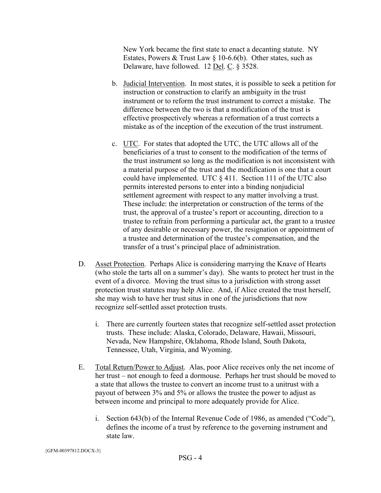New York became the first state to enact a decanting statute. NY Estates, Powers & Trust Law § 10-6.6(b). Other states, such as Delaware, have followed. 12 Del. C. § 3528.

- b. Judicial Intervention. In most states, it is possible to seek a petition for instruction or construction to clarify an ambiguity in the trust instrument or to reform the trust instrument to correct a mistake. The difference between the two is that a modification of the trust is effective prospectively whereas a reformation of a trust corrects a mistake as of the inception of the execution of the trust instrument.
- c. UTC. For states that adopted the UTC, the UTC allows all of the beneficiaries of a trust to consent to the modification of the terms of the trust instrument so long as the modification is not inconsistent with a material purpose of the trust and the modification is one that a court could have implemented. UTC § 411. Section 111 of the UTC also permits interested persons to enter into a binding nonjudicial settlement agreement with respect to any matter involving a trust. These include: the interpretation or construction of the terms of the trust, the approval of a trustee's report or accounting, direction to a trustee to refrain from performing a particular act, the grant to a trustee of any desirable or necessary power, the resignation or appointment of a trustee and determination of the trustee's compensation, and the transfer of a trust's principal place of administration.
- D. Asset Protection. Perhaps Alice is considering marrying the Knave of Hearts (who stole the tarts all on a summer's day). She wants to protect her trust in the event of a divorce. Moving the trust situs to a jurisdiction with strong asset protection trust statutes may help Alice. And, if Alice created the trust herself, she may wish to have her trust situs in one of the jurisdictions that now recognize self-settled asset protection trusts.
	- i. There are currently fourteen states that recognize self-settled asset protection trusts. These include: Alaska, Colorado, Delaware, Hawaii, Missouri, Nevada, New Hampshire, Oklahoma, Rhode Island, South Dakota, Tennessee, Utah, Virginia, and Wyoming.
- E. Total Return/Power to Adjust. Alas, poor Alice receives only the net income of her trust – not enough to feed a dormouse. Perhaps her trust should be moved to a state that allows the trustee to convert an income trust to a unitrust with a payout of between 3% and 5% or allows the trustee the power to adjust as between income and principal to more adequately provide for Alice.
	- i. Section 643(b) of the Internal Revenue Code of 1986, as amended ("Code"), defines the income of a trust by reference to the governing instrument and state law.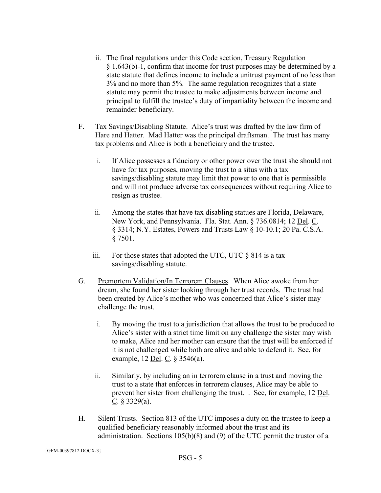- ii. The final regulations under this Code section, Treasury Regulation § 1.643(b)-1, confirm that income for trust purposes may be determined by a state statute that defines income to include a unitrust payment of no less than 3% and no more than 5%. The same regulation recognizes that a state statute may permit the trustee to make adjustments between income and principal to fulfill the trustee's duty of impartiality between the income and remainder beneficiary.
- F. Tax Savings/Disabling Statute. Alice's trust was drafted by the law firm of Hare and Hatter. Mad Hatter was the principal draftsman. The trust has many tax problems and Alice is both a beneficiary and the trustee.
	- i. If Alice possesses a fiduciary or other power over the trust she should not have for tax purposes, moving the trust to a situs with a tax savings/disabling statute may limit that power to one that is permissible and will not produce adverse tax consequences without requiring Alice to resign as trustee.
	- ii. Among the states that have tax disabling statues are Florida, Delaware, New York, and Pennsylvania. Fla. Stat. Ann. § 736.0814; 12 Del. C. § 3314; N.Y. Estates, Powers and Trusts Law § 10-10.1; 20 Pa. C.S.A.  $§ 7501.$
	- iii. For those states that adopted the UTC, UTC  $\S$  814 is a tax savings/disabling statute.
- G. Premortem Validation/In Terrorem Clauses. When Alice awoke from her dream, she found her sister looking through her trust records. The trust had been created by Alice's mother who was concerned that Alice's sister may challenge the trust.
	- i. By moving the trust to a jurisdiction that allows the trust to be produced to Alice's sister with a strict time limit on any challenge the sister may wish to make, Alice and her mother can ensure that the trust will be enforced if it is not challenged while both are alive and able to defend it. See, for example, 12 <u>Del. C</u>. § 3546(a).
	- ii. Similarly, by including an in terrorem clause in a trust and moving the trust to a state that enforces in terrorem clauses, Alice may be able to prevent her sister from challenging the trust. . See, for example, 12 Del. C.  $§$  3329(a).
- H. Silent Trusts. Section 813 of the UTC imposes a duty on the trustee to keep a qualified beneficiary reasonably informed about the trust and its administration. Sections 105(b)(8) and (9) of the UTC permit the trustor of a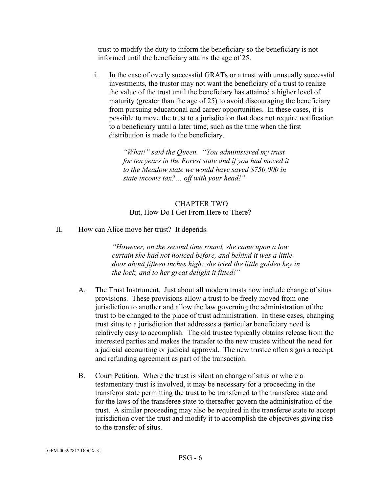trust to modify the duty to inform the beneficiary so the beneficiary is not informed until the beneficiary attains the age of 25.

i. In the case of overly successful GRATs or a trust with unusually successful investments, the trustor may not want the beneficiary of a trust to realize the value of the trust until the beneficiary has attained a higher level of maturity (greater than the age of 25) to avoid discouraging the beneficiary from pursuing educational and career opportunities. In these cases, it is possible to move the trust to a jurisdiction that does not require notification to a beneficiary until a later time, such as the time when the first distribution is made to the beneficiary.

> *"What!" said the Queen. "You administered my trust for ten years in the Forest state and if you had moved it to the Meadow state we would have saved \$750,000 in state income tax?… off with your head!"*

### CHAPTER TWO But, How Do I Get From Here to There?

II. How can Alice move her trust? It depends.

*"However, on the second time round, she came upon a low curtain she had not noticed before, and behind it was a little door about fifteen inches high: she tried the little golden key in the lock, and to her great delight it fitted!"*

- A. The Trust Instrument. Just about all modern trusts now include change of situs provisions. These provisions allow a trust to be freely moved from one jurisdiction to another and allow the law governing the administration of the trust to be changed to the place of trust administration. In these cases, changing trust situs to a jurisdiction that addresses a particular beneficiary need is relatively easy to accomplish. The old trustee typically obtains release from the interested parties and makes the transfer to the new trustee without the need for a judicial accounting or judicial approval. The new trustee often signs a receipt and refunding agreement as part of the transaction.
- B. Court Petition. Where the trust is silent on change of situs or where a testamentary trust is involved, it may be necessary for a proceeding in the transferor state permitting the trust to be transferred to the transferee state and for the laws of the transferee state to thereafter govern the administration of the trust. A similar proceeding may also be required in the transferee state to accept jurisdiction over the trust and modify it to accomplish the objectives giving rise to the transfer of situs.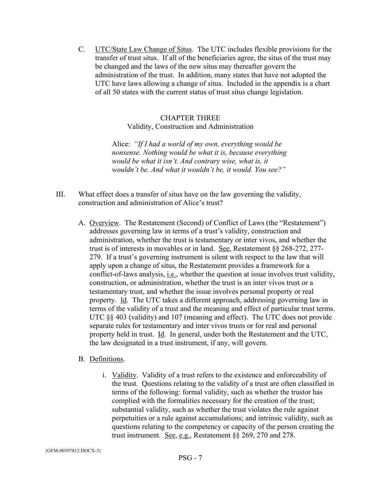C. UTC/State Law Change of Situs. The UTC includes flexible provisions for the transfer of trust situs. If all of the beneficiaries agree, the situs of the trust may be changed and the laws of the new situs may thereafter govern the administration of the trust. In addition, many states that have not adopted the UTC have laws allowing a change of situs. Included in the appendix is a chart of all 50 states with the current status of trust situs change legislation.

### CHAPTER THREE Validity, Construction and Administration

Alice: *"If I had a world of my own, everything would be nonsense. Nothing would be what it is, because everything would be what it isn't. And contrary wise, what is, it wouldn't be. And what it wouldn't be, it would. You see?"*

- III. What effect does a transfer of situs have on the law governing the validity, construction and administration of Alice's trust?
	- A. Overview. The Restatement (Second) of Conflict of Laws (the "Restatement") addresses governing law in terms of a trust's validity, construction and administration, whether the trust is testamentary or inter vivos, and whether the trust is of interests in movables or in land. See, Restatement §§ 268-272, 277- 279. If a trust's governing instrument is silent with respect to the law that will apply upon a change of situs, the Restatement provides a framework for a conflict-of-laws analysis, i.e., whether the question at issue involves trust validity, construction, or administration, whether the trust is an inter vivos trust or a testamentary trust, and whether the issue involves personal property or real property. Id. The UTC takes a different approach, addressing governing law in terms of the validity of a trust and the meaning and effect of particular trust terms. UTC §§ 403 (validity) and 107 (meaning and effect). The UTC does not provide separate rules for testamentary and inter vivos trusts or for real and personal property held in trust. Id. In general, under both the Restatement and the UTC, the law designated in a trust instrument, if any, will govern.

#### B. Definitions.

i. Validity. Validity of a trust refers to the existence and enforceability of the trust. Questions relating to the validity of a trust are often classified in terms of the following: formal validity, such as whether the trustor has complied with the formalities necessary for the creation of the trust; substantial validity, such as whether the trust violates the rule against perpetuities or a rule against accumulations; and intrinsic validity, such as questions relating to the competency or capacity of the person creating the trust instrument. See, e.g., Restatement §§ 269, 270 and 278.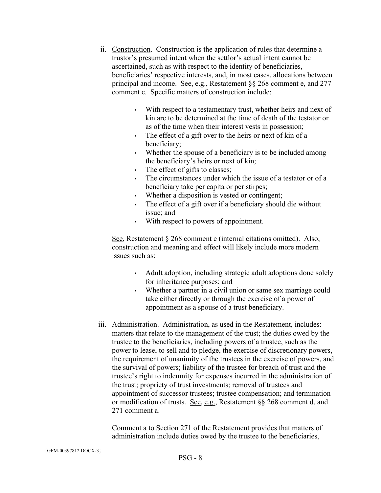- ii. Construction. Construction is the application of rules that determine a trustor's presumed intent when the settlor's actual intent cannot be ascertained, such as with respect to the identity of beneficiaries, beneficiaries' respective interests, and, in most cases, allocations between principal and income. See, e.g., Restatement §§ 268 comment e, and 277 comment c. Specific matters of construction include:
	- With respect to a testamentary trust, whether heirs and next of kin are to be determined at the time of death of the testator or as of the time when their interest vests in possession;
	- The effect of a gift over to the heirs or next of kin of a beneficiary;
	- Whether the spouse of a beneficiary is to be included among the beneficiary's heirs or next of kin;
	- The effect of gifts to classes;
	- The circumstances under which the issue of a testator or of a beneficiary take per capita or per stirpes;
	- Whether a disposition is vested or contingent;
	- The effect of a gift over if a beneficiary should die without issue; and
	- With respect to powers of appointment.

See, Restatement § 268 comment e (internal citations omitted). Also, construction and meaning and effect will likely include more modern issues such as:

- Adult adoption, including strategic adult adoptions done solely for inheritance purposes; and
- Whether a partner in a civil union or same sex marriage could take either directly or through the exercise of a power of appointment as a spouse of a trust beneficiary.
- iii. Administration. Administration, as used in the Restatement, includes: matters that relate to the management of the trust; the duties owed by the trustee to the beneficiaries, including powers of a trustee, such as the power to lease, to sell and to pledge, the exercise of discretionary powers, the requirement of unanimity of the trustees in the exercise of powers, and the survival of powers; liability of the trustee for breach of trust and the trustee's right to indemnity for expenses incurred in the administration of the trust; propriety of trust investments; removal of trustees and appointment of successor trustees; trustee compensation; and termination or modification of trusts. See, e.g., Restatement §§ 268 comment d, and 271 comment a.

Comment a to Section 271 of the Restatement provides that matters of administration include duties owed by the trustee to the beneficiaries,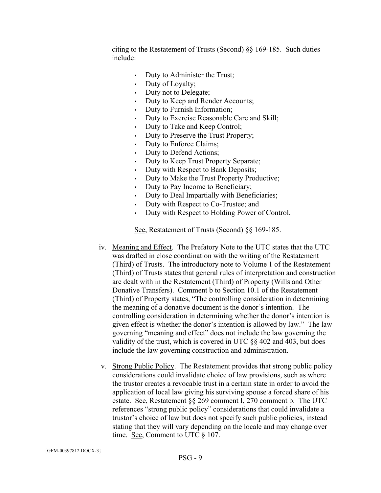citing to the Restatement of Trusts (Second) §§ 169-185. Such duties include:

- Duty to Administer the Trust;
- Duty of Loyalty;
- Duty not to Delegate;
- Duty to Keep and Render Accounts;
- Duty to Furnish Information;
- Duty to Exercise Reasonable Care and Skill;
- Duty to Take and Keep Control;
- Duty to Preserve the Trust Property;
- Duty to Enforce Claims;
- Duty to Defend Actions;
- Duty to Keep Trust Property Separate;
- Duty with Respect to Bank Deposits;
- Duty to Make the Trust Property Productive;
- Duty to Pay Income to Beneficiary;
- Duty to Deal Impartially with Beneficiaries;
- Duty with Respect to Co-Trustee; and
- Duty with Respect to Holding Power of Control.

See, Restatement of Trusts (Second) §§ 169-185.

- iv. Meaning and Effect. The Prefatory Note to the UTC states that the UTC was drafted in close coordination with the writing of the Restatement (Third) of Trusts. The introductory note to Volume 1 of the Restatement (Third) of Trusts states that general rules of interpretation and construction are dealt with in the Restatement (Third) of Property (Wills and Other Donative Transfers). Comment b to Section 10.1 of the Restatement (Third) of Property states, "The controlling consideration in determining the meaning of a donative document is the donor's intention. The controlling consideration in determining whether the donor's intention is given effect is whether the donor's intention is allowed by law." The law governing "meaning and effect" does not include the law governing the validity of the trust, which is covered in UTC §§ 402 and 403, but does include the law governing construction and administration.
- v. Strong Public Policy. The Restatement provides that strong public policy considerations could invalidate choice of law provisions, such as where the trustor creates a revocable trust in a certain state in order to avoid the application of local law giving his surviving spouse a forced share of his estate. See, Restatement §§ 269 comment I, 270 comment b. The UTC references "strong public policy" considerations that could invalidate a trustor's choice of law but does not specify such public policies, instead stating that they will vary depending on the locale and may change over time. See, Comment to UTC § 107.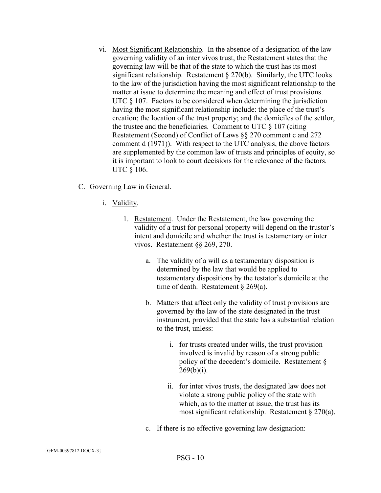- vi. Most Significant Relationship. In the absence of a designation of the law governing validity of an inter vivos trust, the Restatement states that the governing law will be that of the state to which the trust has its most significant relationship. Restatement § 270(b). Similarly, the UTC looks to the law of the jurisdiction having the most significant relationship to the matter at issue to determine the meaning and effect of trust provisions. UTC  $\S$  107. Factors to be considered when determining the jurisdiction having the most significant relationship include: the place of the trust's creation; the location of the trust property; and the domiciles of the settlor, the trustee and the beneficiaries. Comment to UTC § 107 (citing Restatement (Second) of Conflict of Laws §§ 270 comment c and 272 comment d (1971)). With respect to the UTC analysis, the above factors are supplemented by the common law of trusts and principles of equity, so it is important to look to court decisions for the relevance of the factors. UTC § 106.
- C. Governing Law in General.
	- i. Validity.
		- 1. Restatement. Under the Restatement, the law governing the validity of a trust for personal property will depend on the trustor's intent and domicile and whether the trust is testamentary or inter vivos. Restatement §§ 269, 270.
			- a. The validity of a will as a testamentary disposition is determined by the law that would be applied to testamentary dispositions by the testator's domicile at the time of death. Restatement § 269(a).
			- b. Matters that affect only the validity of trust provisions are governed by the law of the state designated in the trust instrument, provided that the state has a substantial relation to the trust, unless:
				- i. for trusts created under wills, the trust provision involved is invalid by reason of a strong public policy of the decedent's domicile. Restatement §  $269(b)(i)$ .
				- ii. for inter vivos trusts, the designated law does not violate a strong public policy of the state with which, as to the matter at issue, the trust has its most significant relationship. Restatement § 270(a).
			- c. If there is no effective governing law designation: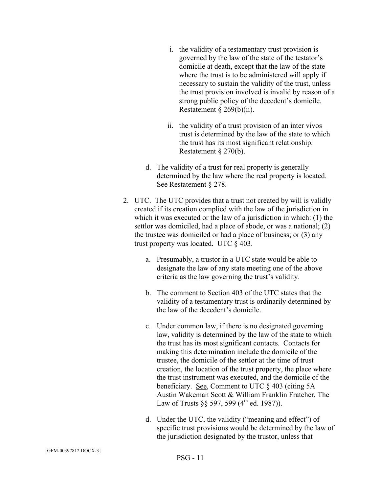- i. the validity of a testamentary trust provision is governed by the law of the state of the testator's domicile at death, except that the law of the state where the trust is to be administered will apply if necessary to sustain the validity of the trust, unless the trust provision involved is invalid by reason of a strong public policy of the decedent's domicile. Restatement § 269(b)(ii).
- ii. the validity of a trust provision of an inter vivos trust is determined by the law of the state to which the trust has its most significant relationship. Restatement § 270(b).
- d. The validity of a trust for real property is generally determined by the law where the real property is located. See Restatement § 278.
- 2. UTC. The UTC provides that a trust not created by will is validly created if its creation complied with the law of the jurisdiction in which it was executed or the law of a jurisdiction in which: (1) the settlor was domiciled, had a place of abode, or was a national; (2) the trustee was domiciled or had a place of business; or (3) any trust property was located. UTC § 403.
	- a. Presumably, a trustor in a UTC state would be able to designate the law of any state meeting one of the above criteria as the law governing the trust's validity.
	- b. The comment to Section 403 of the UTC states that the validity of a testamentary trust is ordinarily determined by the law of the decedent's domicile.
	- c. Under common law, if there is no designated governing law, validity is determined by the law of the state to which the trust has its most significant contacts. Contacts for making this determination include the domicile of the trustee, the domicile of the settlor at the time of trust creation, the location of the trust property, the place where the trust instrument was executed, and the domicile of the beneficiary. See, Comment to UTC § 403 (citing 5A Austin Wakeman Scott & William Franklin Fratcher, The Law of Trusts §§ 597, 599 ( $4^{\text{th}}$  ed. 1987)).
	- d. Under the UTC, the validity ("meaning and effect") of specific trust provisions would be determined by the law of the jurisdiction designated by the trustor, unless that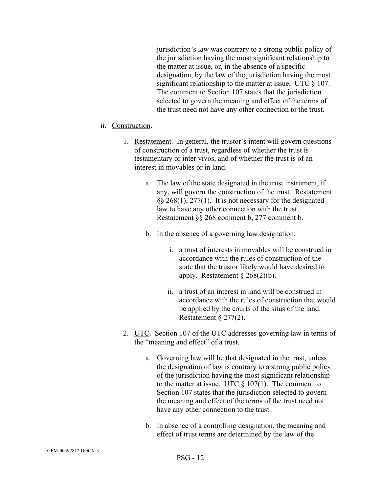jurisdiction's law was contrary to a strong public policy of the jurisdiction having the most significant relationship to the matter at issue, or, in the absence of a specific designation, by the law of the jurisdiction having the most significant relationship to the matter at issue. UTC  $\S$  107. The comment to Section 107 states that the jurisdiction selected to govern the meaning and effect of the terms of the trust need not have any other connection to the trust.

#### ii. Construction.

- 1. Restatement. In general, the trustor's intent will govern questions of construction of a trust, regardless of whether the trust is testamentary or inter vivos, and of whether the trust is of an interest in movables or in land.
	- a. The law of the state designated in the trust instrument, if any, will govern the construction of the trust. Restatement §§ 268(1), 277(1). It is not necessary for the designated law to have any other connection with the trust. Restatement §§ 268 comment b, 277 comment b.
	- b. In the absence of a governing law designation:
		- i. a trust of interests in movables will be construed in accordance with the rules of construction of the state that the trustor likely would have desired to apply. Restatement § 268(2)(b).
		- ii. a trust of an interest in land will be construed in accordance with the rules of construction that would be applied by the courts of the situs of the land. Restatement § 277(2).
- 2. UTC. Section 107 of the UTC addresses governing law in terms of the "meaning and effect" of a trust.
	- a. Governing law will be that designated in the trust, unless the designation of law is contrary to a strong public policy of the jurisdiction having the most significant relationship to the matter at issue. UTC  $\S 107(1)$ . The comment to Section 107 states that the jurisdiction selected to govern the meaning and effect of the terms of the trust need not have any other connection to the trust.
	- b. In absence of a controlling designation, the meaning and effect of trust terms are determined by the law of the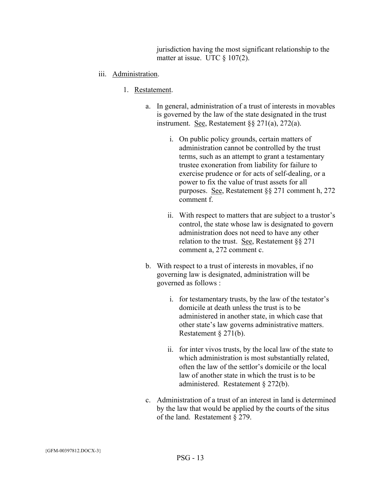jurisdiction having the most significant relationship to the matter at issue. UTC § 107(2).

- iii. Administration.
	- 1. Restatement.
		- a. In general, administration of a trust of interests in movables is governed by the law of the state designated in the trust instrument. See, Restatement §§ 271(a), 272(a).
			- i. On public policy grounds, certain matters of administration cannot be controlled by the trust terms, such as an attempt to grant a testamentary trustee exoneration from liability for failure to exercise prudence or for acts of self-dealing, or a power to fix the value of trust assets for all purposes. See, Restatement §§ 271 comment h, 272 comment f.
			- ii. With respect to matters that are subject to a trustor's control, the state whose law is designated to govern administration does not need to have any other relation to the trust. See, Restatement §§ 271 comment a, 272 comment c.
		- b. With respect to a trust of interests in movables, if no governing law is designated, administration will be governed as follows :
			- i. for testamentary trusts, by the law of the testator's domicile at death unless the trust is to be administered in another state, in which case that other state's law governs administrative matters. Restatement § 271(b).
			- ii. for inter vivos trusts, by the local law of the state to which administration is most substantially related, often the law of the settlor's domicile or the local law of another state in which the trust is to be administered. Restatement § 272(b).
		- c. Administration of a trust of an interest in land is determined by the law that would be applied by the courts of the situs of the land. Restatement § 279.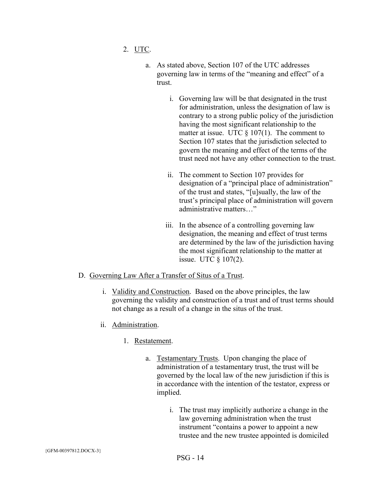- 2. UTC.
	- a. As stated above, Section 107 of the UTC addresses governing law in terms of the "meaning and effect" of a trust.
		- i. Governing law will be that designated in the trust for administration, unless the designation of law is contrary to a strong public policy of the jurisdiction having the most significant relationship to the matter at issue. UTC  $\S 107(1)$ . The comment to Section 107 states that the jurisdiction selected to govern the meaning and effect of the terms of the trust need not have any other connection to the trust.
		- ii. The comment to Section 107 provides for designation of a "principal place of administration" of the trust and states, "[u]sually, the law of the trust's principal place of administration will govern administrative matters …
		- iii. In the absence of a controlling governing law designation, the meaning and effect of trust terms are determined by the law of the jurisdiction having the most significant relationship to the matter at issue. UTC § 107(2).

#### D. Governing Law After a Transfer of Situs of a Trust.

- i. Validity and Construction. Based on the above principles, the law governing the validity and construction of a trust and of trust terms should not change as a result of a change in the situs of the trust.
- ii. Administration.
	- 1. Restatement.
		- a. Testamentary Trusts. Upon changing the place of administration of a testamentary trust, the trust will be governed by the local law of the new jurisdiction if this is in accordance with the intention of the testator, express or implied.
			- i. The trust may implicitly authorize a change in the law governing administration when the trust instrument "contains a power to appoint a new trustee and the new trustee appointed is domiciled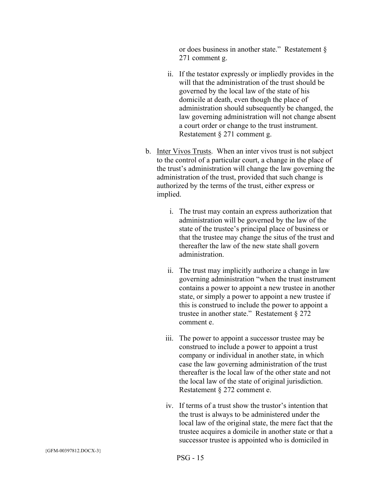or does business in another state." Restatement § 271 comment g.

- ii. If the testator expressly or impliedly provides in the will that the administration of the trust should be governed by the local law of the state of his domicile at death, even though the place of administration should subsequently be changed, the law governing administration will not change absent a court order or change to the trust instrument. Restatement § 271 comment g.
- b. Inter Vivos Trusts. When an inter vivos trust is not subject to the control of a particular court, a change in the place of the trust's administration will change the law governing the administration of the trust, provided that such change is authorized by the terms of the trust, either express or implied.
	- i. The trust may contain an express authorization that administration will be governed by the law of the state of the trustee's principal place of business or that the trustee may change the situs of the trust and thereafter the law of the new state shall govern administration.
	- ii. The trust may implicitly authorize a change in law governing administration "when the trust instrument contains a power to appoint a new trustee in another state, or simply a power to appoint a new trustee if this is construed to include the power to appoint a trustee in another state." Restatement § 272 comment e.
	- iii. The power to appoint a successor trustee may be construed to include a power to appoint a trust company or individual in another state, in which case the law governing administration of the trust thereafter is the local law of the other state and not the local law of the state of original jurisdiction. Restatement § 272 comment e.
	- iv. If terms of a trust show the trustor's intention that the trust is always to be administered under the local law of the original state, the mere fact that the trustee acquires a domicile in another state or that a successor trustee is appointed who is domiciled in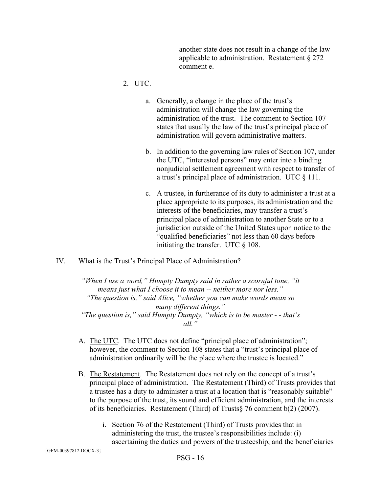another state does not result in a change of the law applicable to administration. Restatement § 272 comment e.

## 2. UTC.

- a. Generally, a change in the place of the trust's administration will change the law governing the administration of the trust. The comment to Section 107 states that usually the law of the trust's principal place of administration will govern administrative matters.
- b. In addition to the governing law rules of Section 107, under the UTC, "interested persons" may enter into a binding nonjudicial settlement agreement with respect to transfer of a trust's principal place of administration. UTC § 111.
- c. A trustee, in furtherance of its duty to administer a trust at a place appropriate to its purposes, its administration and the interests of the beneficiaries, may transfer a trust's principal place of administration to another State or to a jurisdiction outside of the United States upon notice to the "qualified beneficiaries" not less than 60 days before initiating the transfer. UTC § 108.
- IV. What is the Trust's Principal Place of Administration?

*"When I use a word," Humpty Dumpty said in rather a scornful tone, "it means just what I choose it to mean -- neither more nor less." "The question is," said Alice, "whether you can make words mean so many different things." "The question is," said Humpty Dumpty, "which is to be master - - that's all."*

- A. The UTC. The UTC does not define "principal place of administration"; however, the comment to Section 108 states that a "trust's principal place of administration ordinarily will be the place where the trustee is located."
- B. The Restatement. The Restatement does not rely on the concept of a trust's principal place of administration. The Restatement (Third) of Trusts provides that a trustee has a duty to administer a trust at a location that is "reasonably suitable" to the purpose of the trust, its sound and efficient administration, and the interests of its beneficiaries. Restatement (Third) of Trusts§ 76 comment b(2) (2007).
	- i. Section 76 of the Restatement (Third) of Trusts provides that in administering the trust, the trustee's responsibilities include: (i) ascertaining the duties and powers of the trusteeship, and the beneficiaries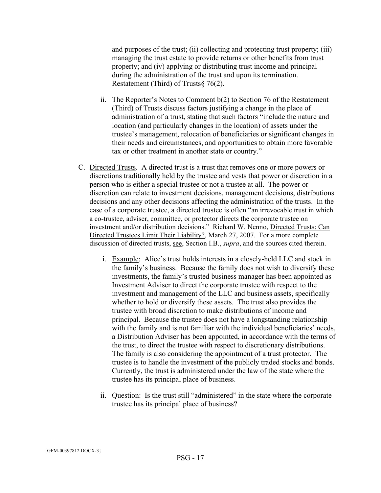and purposes of the trust; (ii) collecting and protecting trust property; (iii) managing the trust estate to provide returns or other benefits from trust property; and (iv) applying or distributing trust income and principal during the administration of the trust and upon its termination. Restatement (Third) of Trusts§ 76(2).

- ii. The Reporter's Notes to Comment b(2) to Section 76 of the Restatement (Third) of Trusts discuss factors justifying a change in the place of administration of a trust, stating that such factors "include the nature and location (and particularly changes in the location) of assets under the trustee's management, relocation of beneficiaries or significant changes in their needs and circumstances, and opportunities to obtain more favorable tax or other treatment in another state or country."
- C. Directed Trusts. A directed trust is a trust that removes one or more powers or discretions traditionally held by the trustee and vests that power or discretion in a person who is either a special trustee or not a trustee at all. The power or discretion can relate to investment decisions, management decisions, distributions decisions and any other decisions affecting the administration of the trusts. In the case of a corporate trustee, a directed trustee is often "an irrevocable trust in which a co-trustee, adviser, committee, or protector directs the corporate trustee on investment and/or distribution decisions." Richard W. Nenno, Directed Trusts: Can Directed Trustees Limit Their Liability?, March 27, 2007. For a more complete discussion of directed trusts, see, Section I.B., *supra*, and the sources cited therein.
	- i. Example: Alice's trust holds interests in a closely-held LLC and stock in the family's business. Because the family does not wish to diversify these investments, the family's trusted business manager has been appointed as Investment Adviser to direct the corporate trustee with respect to the investment and management of the LLC and business assets, specifically whether to hold or diversify these assets. The trust also provides the trustee with broad discretion to make distributions of income and principal. Because the trustee does not have a longstanding relationship with the family and is not familiar with the individual beneficiaries' needs, a Distribution Adviser has been appointed, in accordance with the terms of the trust, to direct the trustee with respect to discretionary distributions. The family is also considering the appointment of a trust protector. The trustee is to handle the investment of the publicly traded stocks and bonds. Currently, the trust is administered under the law of the state where the trustee has its principal place of business.
	- ii. Question: Is the trust still "administered" in the state where the corporate trustee has its principal place of business?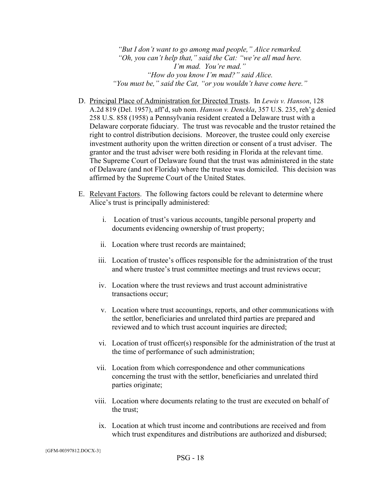*"But I don't want to go among mad people," Alice remarked. "Oh, you can't help that," said the Cat: "we're all mad here. I'm mad. You're mad." "How do you know I'm mad?" said Alice. "You must be," said the Cat, "or you wouldn't have come here."*

- D. Principal Place of Administration for Directed Trusts. In *Lewis v. Hanson*, 128 A.2d 819 (Del. 1957), aff'd, sub nom. *Hanson v. Denckla*, 357 U.S. 235, reh'g denied 258 U.S. 858 (1958) a Pennsylvania resident created a Delaware trust with a Delaware corporate fiduciary. The trust was revocable and the trustor retained the right to control distribution decisions. Moreover, the trustee could only exercise investment authority upon the written direction or consent of a trust adviser. The grantor and the trust adviser were both residing in Florida at the relevant time. The Supreme Court of Delaware found that the trust was administered in the state of Delaware (and not Florida) where the trustee was domiciled. This decision was affirmed by the Supreme Court of the United States.
- E. Relevant Factors. The following factors could be relevant to determine where Alice's trust is principally administered:
	- i. Location of trust's various accounts, tangible personal property and documents evidencing ownership of trust property;
	- ii. Location where trust records are maintained;
	- iii. Location of trustee's offices responsible for the administration of the trust and where trustee's trust committee meetings and trust reviews occur;
	- iv. Location where the trust reviews and trust account administrative transactions occur;
	- v. Location where trust accountings, reports, and other communications with the settlor, beneficiaries and unrelated third parties are prepared and reviewed and to which trust account inquiries are directed;
	- vi. Location of trust officer(s) responsible for the administration of the trust at the time of performance of such administration;
	- vii. Location from which correspondence and other communications concerning the trust with the settlor, beneficiaries and unrelated third parties originate;
	- viii. Location where documents relating to the trust are executed on behalf of the trust;
		- ix. Location at which trust income and contributions are received and from which trust expenditures and distributions are authorized and disbursed;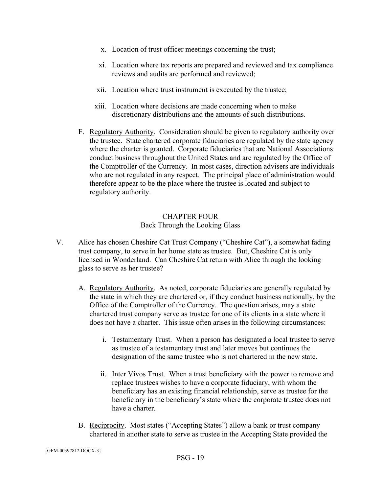- x. Location of trust officer meetings concerning the trust;
- xi. Location where tax reports are prepared and reviewed and tax compliance reviews and audits are performed and reviewed;
- xii. Location where trust instrument is executed by the trustee;
- xiii. Location where decisions are made concerning when to make discretionary distributions and the amounts of such distributions.
- F. Regulatory Authority. Consideration should be given to regulatory authority over the trustee. State chartered corporate fiduciaries are regulated by the state agency where the charter is granted. Corporate fiduciaries that are National Associations conduct business throughout the United States and are regulated by the Office of the Comptroller of the Currency. In most cases, direction advisers are individuals who are not regulated in any respect. The principal place of administration would therefore appear to be the place where the trustee is located and subject to regulatory authority.

## CHAPTER FOUR Back Through the Looking Glass

- V. Alice has chosen Cheshire Cat Trust Company ("Cheshire Cat"), a somewhat fading trust company, to serve in her home state as trustee. But, Cheshire Cat is only licensed in Wonderland. Can Cheshire Cat return with Alice through the looking glass to serve as her trustee?
	- A. Regulatory Authority. As noted, corporate fiduciaries are generally regulated by the state in which they are chartered or, if they conduct business nationally, by the Office of the Comptroller of the Currency. The question arises, may a state chartered trust company serve as trustee for one of its clients in a state where it does not have a charter. This issue often arises in the following circumstances:
		- i. Testamentary Trust. When a person has designated a local trustee to serve as trustee of a testamentary trust and later moves but continues the designation of the same trustee who is not chartered in the new state.
		- ii. Inter Vivos Trust. When a trust beneficiary with the power to remove and replace trustees wishes to have a corporate fiduciary, with whom the beneficiary has an existing financial relationship, serve as trustee for the beneficiary in the beneficiary's state where the corporate trustee does not have a charter.
	- B. Reciprocity. Most states ("Accepting States") allow a bank or trust company chartered in another state to serve as trustee in the Accepting State provided the